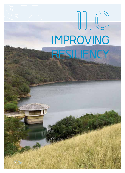# **IMPROVING RESILIENCY 1 1 . O**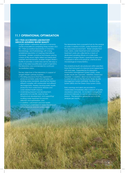# **11.1 OPERATIONAL OPTIMISATION**

#### **ISO 17025 ACCREDITED LABORATORY SERVICES ASSURING WATER QUALITY**

Umgeni Water's Laboratory Services is a dynamic centre of excellence comprising three modern ISO/ IEC 17025 accredited laboratories in Chemistry, Microbiology, and Hydrobiology with a long established reputation of meeting international standards. Modern analytical techniques used by a team of fifty-seven highly skilled and dedicated scientists and technicians, enables Umgeni Water's facility to provides a world-class service 365 days a year. In the latest recertification audit of April 2013, the laboratory was commended for continued accreditation status.

The key objectives of the laboratory in support of Umgeni Water's primary business:

- Providing assurance that the organisation produces potable water that complies with drinking water standards, assuring that treated effluent complies with wastewater and effluent discharge limits, thereby assuring public health protection from water-borne diseases and water related health impacts,
- Undertaking research and development, generation of scientific data for new infrastructure development, and supporting/ auditing water treatment for process selection and optimisation, and
- In addition, catchment and river health monitoring is undertaken to assess the status of water resources and raw water supply.

The laboratories form a powerful hub for the analysis of water, in relation to both, water treatment and the associated environment. Water samples from rivers, dams, water treatment and wastewater treatment works are collected by a team of dedicated sampling officers on a daily basis throughout Umgeni Water's operational area and is assessed in terms of its physical, chemical and microbiological characteristics.

The analytical results are produced within specified times that forms part of a Service Level Agreements with end users. Supported by its Laboratory Information Management System (LIMS), water quality results are captured, validated, stored and reported. In addition, direct access is provided to external users via the Electronic Water Quality Management System (eWQMS), the Blue Drop System (BDS) and the Green Drop System (GDS).

Early warnings and alerts are provided to stakeholders immediately after a breach of quality standards is detected. An incident management protocol is followed, to contain and remedy the breach. The laboratory generates up to 20 000 analyses per month.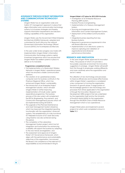## **ASSURANCE THROUGH ROBUST INFORMATION AND COMMUNICATIONS TECHNOLOGY SYSTEMS**

Umgeni Water has an organisation-wide and holistic ICT management approach in place that aligns information and communication technology systems to its business strategies and thereby supports information requirements and decisionmaking capabilities of the organisation.

Umgeni Water uses the Government-Wide Enterprise Architecture (GWEA) framework, adopted and customised for South Africa by the national Government Information Technology Officers' Council (GITOC) for its enterprise architecture.

In the year under review progress was made with implementation Umgeni Water's Information Communication Technology systems capital investment programme which has ensured that Umgeni Water has resilient systems in place to deliver on its mandate.

#### **Programmes completed include:**

- Full implementation of a Redundant Wireless Network in Umgeni Water's operational areas, which has ensured a stable communication platform,
- The creation of an updated/secondary computer room for business continuity in the Pinetown Regional Office, which has enhanced Umgeni Water's sustainability,
- The introduction of an Enterprise Project Management solution, which will assist Umgeni Water in further improving implementation of its bulk water capital expenditure programme. The business process of this new system will complement the EPCM (Engineering, Procurement, and Construction Management) process which will be implemented during 2013/2014,
- The upgrade of the Planned Maintenance and Asset Management System (Maximo), which has improved the integrated reporting functionality with the organisation's financial systems. The establishment of a fully functional ICT Helpdesk inclusive of ICT asset discovery using Maximo was also achieved during this period,
- The completion of the Laboratory Management System project which has full integration and automation thus enhancing scalability will support the business by adapting to the new trends and legislation, and
- The assessment and approval of Umgeni Water's ICT Governance framework, which aligns with the performance and sustainability objectives of the organisation, has ensured the Board's full compliance of the relevant ICT responsibilities as recommended in King III.

#### **Umgeni Water's ICT plans for 2013/2014 include:**

- Investigation of an Enterprise Resource Planning (ERP) System,
- Business Process re-engineering,
- Implementation of a Treasury Management System,
- Sourcing and Implementation of an Information and Content Management System,
- Deployment of the Unified Communications Plan,
- Integrated business reporting from key Business Systems,
- Response to governance requirements in line with Board directives, and
- Implementation of an electronic system to improve capturing and validation of organisational and divisional performance information.

### **RESEARCH AND INNOVATION**

In the year Umgeni Water approved its Innovation Policy, the purpose of which is to provide a favourable corporate environment for innovative suggestions to emerge. Umgeni Water will benefit from this through its employees working differently and more creatively serve the organisation and sector's needs.

The utilisation of new technology and processes to improve efficiencies and increase effectiveness within Umgeni Water's operations is considered a key component of moving the organisation forward in its growth phase. A large portion of the knowledge gained in new technology and processes that will be applicable to the organisation is through the Innovation, Research and Development (IRD) projects that are undertaken by the organisation itself and by the University of KwaZulu-Natal (UKZN) for the organisation through the UW/UKZN Chair of Water Resource Management which is now operational.

Umgeni Water plans and implements several projects for which work completed is shown in **Table 11.1**

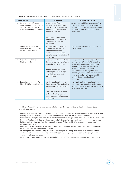**Table 11.1** Umgeni Water's major research projects and progress made in 2012/2013.

| <b>Research Project</b> |                                                                                                                  | <b>Objectives</b>                                                                                                                                                                                                                                     | Progress 2012/2013                                                                                                                                                                                                                                                                                                                                                                     |
|-------------------------|------------------------------------------------------------------------------------------------------------------|-------------------------------------------------------------------------------------------------------------------------------------------------------------------------------------------------------------------------------------------------------|----------------------------------------------------------------------------------------------------------------------------------------------------------------------------------------------------------------------------------------------------------------------------------------------------------------------------------------------------------------------------------------|
| 1.                      | Nano-structured Titanium<br>oxide Nitrogen Doped Photo-<br>Catalytic Membranes for<br>Water Treatment (NATIOMEM) | To test the disinfection<br>efficiency of a membrane<br>pilot plant that uses sunlight<br>for disinfection without any<br>chemical addition.<br>The intention is to use the<br>technology to provide safe<br>drinking water for a rural<br>household. | All planned pilot trials were successfully<br>completed and a ceramic membrane<br>successfully coated with nitrogen doped<br>titanium dioxide to enable chemical-less<br>disinfection.                                                                                                                                                                                                 |
| 2.                      | Monitoring of Endocrine<br>Disrupting Compounds (EDC)<br>Levels in Darvill WWTW                                  | To determine and optimise<br>an analytical technique<br>for the detection and<br>quantification of endocrine<br>disruptor compounds in Darvill<br>wastewater.                                                                                         | The method development and validation<br>is in progress.                                                                                                                                                                                                                                                                                                                               |
| 3.                      | Evaluation of High-rate<br>Clarifiers (HRC).                                                                     | Investigate and demonstrate<br>the use of high-rate clarifiers at<br>Umgeni Water WTW sites.<br>Prepare design guidelines<br>for the optimisation of high-<br>rate clarifier design and<br>construction.                                              | All experimental work on the HRC, at<br>alternate site, Mvoti WTW, is complete<br>(in the prior year the data collected<br>assisted in the selection and design<br>of an appropriate clarifier unit for<br>the Hazelmere WTW upgrade). The<br>technology is suitable for potable water<br>treatment and a site is being sought<br>for the full scale application of the<br>technology. |
| 4.                      | <b>Evaluation of Direct Up-flow</b><br>Filters (DUF) for Potable Water.                                          | Test the applicability of the<br>Direct Up-flow Filter technology<br>for use at Umgeni Water WTW.<br>Compare cost-effectiveness<br>of the technology from an<br>operations and maintenance<br>perspective.                                            | Plant trials testing the applicability of<br>technology are complete and Umgeni<br>Water is planning to relocate the plant to<br>a suitable rural area.                                                                                                                                                                                                                                |

In addition, Umgeni Water has kept current with the latest development in analytical techniques. Current research focus areas are:

- Radioactive screening: Tests for uranium, and alpha-beta radioactivity, was undertaken on fifty (50) raw and drinking water monitoring sites. The tested catchments showed no radiation contamination,
- Endocrine Disrupting Compounds: The levels of Endocrine Disrupting Compounds (EDCs) at Darvill Wastewater Treatment Works was studied to establish removal efficiencies from conventional treatment and compared to MBR treatment. Enzyme-Linked Immunosorbent Assay (ELISA) and GC MS analysis methods are being developed for EDCs,
- Polymers for water treatment: A test method using gold nanoparticles was developed in collaboration with UKZN to measure polymer residues in water,
- Soil testing: New methods for thirty-six (36) different analyses are being developed and validated for the analysis of soils as required by the new Sludge Guidelines. A fully fledged soil testing laboratory is being designed for this purpose, and
- Other areas include real time Polymerase Chain Reaction (PCR) research and research on enteric viruses.

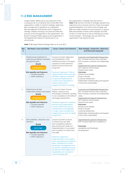# **11.2 RISK MANAGEMENT**

Umgeni Water defines risk as any exposure to the consequences of uncertainty that could affect the organisation's ability to meet its strategic objectives. Risk management is guided by an Integrated Risk Management Framework which is aligned to strategy, thereby ensuring a focused and directed process of risk management in the organisation. The Board of Umgeni Water approves the organisation's risk appetite and tolerance framework on an annual basis.

The organisation's strategic risks are shown is Table 11.2 and show the link to strategic perspectives, objectives and outcomes and how these have been treated/mitigated. Of a total of nine strategic risks, 89% have been treated to a level equal to or above 50% (reasonable) overall control strength and 56% of risks to a level equal or above 70% (good) overall control strength. All strategic risks are within the organisation's risk tolerance level.

**Table 11.2** Umgeni Water Strategic Risks as at June 2013

| <b>Risk</b><br># | <b>Risk Name, Score and Status</b>                                                                                                                                                            | <b>Cause, Context and Treatment</b>                                                                                                                                                                                                                                                                                                                                                                                                                                                             | Main Strategic, Perspective, Objectives<br>and Outcomes Impacted                                                                                                                                                                                                                                                                                                                                                |
|------------------|-----------------------------------------------------------------------------------------------------------------------------------------------------------------------------------------------|-------------------------------------------------------------------------------------------------------------------------------------------------------------------------------------------------------------------------------------------------------------------------------------------------------------------------------------------------------------------------------------------------------------------------------------------------------------------------------------------------|-----------------------------------------------------------------------------------------------------------------------------------------------------------------------------------------------------------------------------------------------------------------------------------------------------------------------------------------------------------------------------------------------------------------|
| 1.               | Infrastructure investment to<br>meet service delivery mandate<br>and growth plans.<br>Score<br>Moderate-Low<br><b>Risk Appetite and Tolerance</b><br>• Outside Appetite<br>• Within Tolerance | Cause & Context: Alignment<br>and prioritisation of the<br>infrastructure plan to increase<br>capacity to meet demand,<br>improve service levels and<br>for growth.<br><b>Treatment Approach: Critical</b><br>supply infrastructure is annually<br>identified, aligned, prioritised,<br>funded and implemented<br>as part of the organisation's<br>capital infrastructure<br>programme linked to strategy.                                                                                      | Customer and Stakeholder Perspective:<br>SO1: Increase services and customers.<br>SO2: Increase customer and stakeholder<br>value.<br>Organisational Capacity Perspective:<br>SO7: Improve and increase<br>infrastructure assets.<br><b>Outcomes</b><br>Infrastructure Stability<br><b>Product Quality</b><br><b>Customer Satisfaction</b><br>Stakeholder Understanding and Support<br>Community Sustainability |
| 2.               | Performance of bulk<br>wastewater infrastructure assets.<br><b>Score</b><br>Moderate-Low<br><b>Risk Appetite and Tolerance</b><br>• Outside Appetite<br>• Within Tolerance                    | Cause & Context: Process<br>failures, capacity and<br>technology constraints, resulting<br>in non-compliance with effluent<br>discharge requirements.<br><b>Treatment Approach: Initiatives</b><br>planned and implemented<br>at each WWTW and critical<br>refurbishment and upgrades<br>of major works included and<br>implemented as part of capital<br>programme.                                                                                                                            | Customer and Stakeholder Perspective:<br>SO1: Increase services and customers.<br>SO2: Increase customer and stakeholder<br>value.<br>Organisational Capacity Perspective:<br>SO7: Improve and increase<br>infrastructure assets.<br>Outcomes<br>Infrastructure Stability<br><b>Product Quality</b><br><b>Customer Satisfaction</b><br>Stakeholder Understanding and Support<br>Community Sustainability        |
| 3.               | Skill availability, attraction and<br>retention.<br><b>Score</b><br>Minor-High<br><b>Risk Appetite and Tolerance</b><br>• Outside Appetite<br>• Within Tolerance                              | Cause & Context: Scarcity<br>of critical and core skills<br>and competitive external<br>jobs environment. Extent of<br>implementation of succession<br>plan in relation to critical and<br>core skills.<br><b>Treatment Approach:</b><br>Implementation of succession<br>plans and approved workforce<br>plans. Programmes to build<br>leadership, management and<br>functional competence and to<br>develop technical skills for the<br>organisation are included in<br>current strategy plan. | Organisational Capacity Perspective:<br>SO9: Increase skills and competency.<br><b>Outcomes</b><br>Leadership and Employee<br>Development                                                                                                                                                                                                                                                                       |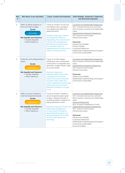| <b>Risk</b><br># | <b>Risk Name, Score and Status</b>                                                                                                                                        | <b>Cause, Context and Treatment</b>                                                                                                                                                                                                                                                                                                                                                                                       | Main Strategic, Perspective, Objectives<br>and Outcomes Impacted                                                                                                                                                                                                                                                                                                                                                                                                                         |
|------------------|---------------------------------------------------------------------------------------------------------------------------------------------------------------------------|---------------------------------------------------------------------------------------------------------------------------------------------------------------------------------------------------------------------------------------------------------------------------------------------------------------------------------------------------------------------------------------------------------------------------|------------------------------------------------------------------------------------------------------------------------------------------------------------------------------------------------------------------------------------------------------------------------------------------------------------------------------------------------------------------------------------------------------------------------------------------------------------------------------------------|
| 4.               | Ability to deliver projects on<br>time and within budget.<br><b>Score</b><br>Minor-High<br><b>Risk Appetite and Tolerance</b><br>• Outside Appetite<br>• Within Tolerance | Cause & Context: Actual cost<br>and delivery time of projects<br>may significantly differ from<br>approved plans.<br><b>Treatment Approach: Review</b><br>and implement effective<br>Engineering, Procurement and<br><b>Construction Management</b><br>(EPCM) process. Benchmark<br>procurement system for<br>engineering and construction to<br>improve turnaround time.                                                 | Customer and Stakeholder Perspective:<br>SO1: Increase services and customers.<br>SO2: Increase customer and stakeholder<br>value.<br>Organisational Capacity Perspective:<br>SO7: Improve and increase<br>infrastructure assets.<br><b>Outcomes</b><br>Infrastructure Stability<br><b>Product Quality</b><br><b>Customer Satisfaction</b><br>Stakeholder Understanding and Support<br>Community Sustainability                                                                          |
| 5.               | Protection and safeguarding of<br>assets.<br><b>Score</b><br>Minor-Low<br><b>Risk Appetite and Tolerance</b><br>• Outside Appetite<br>• Within Tolerance                  | Cause & Context: Illegal<br>settlements and unauthorised<br>construction on properties and<br>servitudes. Umgeni Water's right<br>of access limited.<br><b>Treatment Approach:</b><br>Implementation of servitude<br>management procedure.<br>Safety and security measures<br>to protect staff, assets and<br>public. Properties and servitudes<br>maintained and monitored.<br>Disposal of property no longer<br>in use. | <b>Customer and Stakeholder Perspective:</b><br>SO2: Increase customer and stakeholder<br>value<br>Organisational Capacity Perspective:<br>SO7: Improve and increase<br>infrastructure assets<br><b>Outcomes</b><br>Infrastructure Stability<br>Stakeholder Understanding and Support<br>Community Sustainability                                                                                                                                                                        |
| 6.               | Ability to secure funding to<br>meet developmental goals.<br><b>Score</b><br>Minor-Low<br><b>Risk Appetite and Tolerance</b><br>• Outside Appetite<br>• Within Tolerance  | Cause & Context: Inability to<br>secure required project grant<br>funding. Delayed receipt of<br>funding resulting in projects not<br>being delivered on time.<br><b>Treatment Approach: Enhanced</b><br>stakeholder engagement<br>to secure grant funding for<br>developmental projects. On-<br>going optimisation of funding<br>mix from tariff, grants and<br>borrowing.                                               | Customer and Stakeholder Perspective:<br>SO1: Increase services and customers<br>SO2: Increase customer and stakeholder<br>value<br><b>Financial Perspective:</b><br>SO3: Increase mobilisation of funds<br>Organisational Capacity Perspective:<br>SO7: Improve and increase<br>infrastructure assets<br><b>Outcomes</b><br>Infrastructure Stability<br><b>Customer Satisfaction</b><br>Stakeholder Understanding and Support<br>Community Sustainability<br><b>Financial Viability</b> |

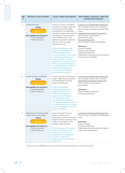| <b>Risk</b><br># | <b>Risk Name, Score and Status</b>                                                                                                                                        | <b>Cause, Context and Treatment</b>                                                                                                                                                                                                                                                                                                                                                                                                                                                                                                                                                                                                                                                                                               | Main Strategic, Perspective, Objectives<br>and Outcomes Impacted                                                                                                                                                                                                                                                                                                                                                                                                                                    |
|------------------|---------------------------------------------------------------------------------------------------------------------------------------------------------------------------|-----------------------------------------------------------------------------------------------------------------------------------------------------------------------------------------------------------------------------------------------------------------------------------------------------------------------------------------------------------------------------------------------------------------------------------------------------------------------------------------------------------------------------------------------------------------------------------------------------------------------------------------------------------------------------------------------------------------------------------|-----------------------------------------------------------------------------------------------------------------------------------------------------------------------------------------------------------------------------------------------------------------------------------------------------------------------------------------------------------------------------------------------------------------------------------------------------------------------------------------------------|
| 7.               | Sustainable Tariff<br>Score<br>Minor-Low<br><b>Risk Appetite and Tolerance</b><br>• Outside Appetite<br>• Within Tolerance                                                | Cause & Context: Constraints<br>on ability to charge a tariff that<br>will ensure financial viability<br>and protection of operating<br>cash flows against operating risk<br>including low volume growth,<br>above inflation input costs,<br>significant capital investments<br>with low returns and high<br>impairment costs.<br><b>Treatment Approach: Tariff</b><br>policy ensures transparency<br>and formal tariff process.<br>Scenario analysis on the impact<br>of operational risk factors on<br>financial viability. On-going<br>optimisation of funding mix from<br>tariff, grants and borrowing for<br>capital programme. Enhanced<br>stakeholder engagement<br>to secure grant funding for<br>developmental projects. | <b>Customer and Stakeholder Perspective:</b><br>SO1: Increase services and customers<br>SO2: Increase customer and stakeholder<br>value<br>Organisational Capacity Perspective:<br>SO7: Improve and increase<br>infrastructure assets<br><b>Financial Perspective:</b><br>SO4: Increase financial sustainability<br><b>Outcomes:</b><br><b>Financial Viability</b><br>Infrastructure Stability<br><b>Customer Satisfaction</b><br>Stakeholder Understanding and Support<br>Community Sustainability |
| 8.               | Water resources availability<br><b>Score</b><br>Minor-Low<br><b>Risk Appetite and Tolerance</b><br>• Outside Appetite<br>• Within Tolerance                               | Cause & Context: Assurance of<br>supply <98%. Planning horizons<br>and prioritisation to match<br>supply and demand.<br><b>Treatment Approach:</b><br>Integrated planning and<br>implementation for short,<br>medium and long-term<br>augmentation of systems<br>with stakeholders. Water<br>conservation and demand<br>management initiatives. Review<br>of water resources mix including<br>reuse and desalination. Climate<br>change modelling.                                                                                                                                                                                                                                                                                | Customer and Stakeholder Perspective:<br>SO1: Increase services and customers<br>Organisational Capacity Perspective:<br>SO8: Increase water resources<br>sustainability<br>Outcomes:<br>Water Resources Adequacy<br><b>Customer Satisfaction</b>                                                                                                                                                                                                                                                   |
| 9.               | Performance of bulk potable<br>water infrastructure assets<br><b>Score</b><br>Minor-Low<br><b>Risk Appetite and Tolerance</b><br>• Outside Appetite<br>• Within Tolerance | Cause & Context: Process<br>failures, capacity and<br>technology constraints at water<br>treatment plants resulting in final<br>water non-compliance with<br>potable water standard.<br><b>Treatment Approach: Initiatives</b><br>planned and implemented<br>at each WTW and critical<br>refurbishment and upgrades<br>of works included and<br>implemented as part of asset<br>programme.                                                                                                                                                                                                                                                                                                                                        | Customer and Stakeholder Perspective:<br>SO2: Increase customer and stakeholder<br>value<br><b>Outcomes:</b><br><b>Product Quality</b><br><b>Customer Satisfaction</b><br>Stakeholder Understanding and Support<br>Community Sustainability                                                                                                                                                                                                                                                         |

Financial risks are detailed in the annual financial statement section of this annual report.